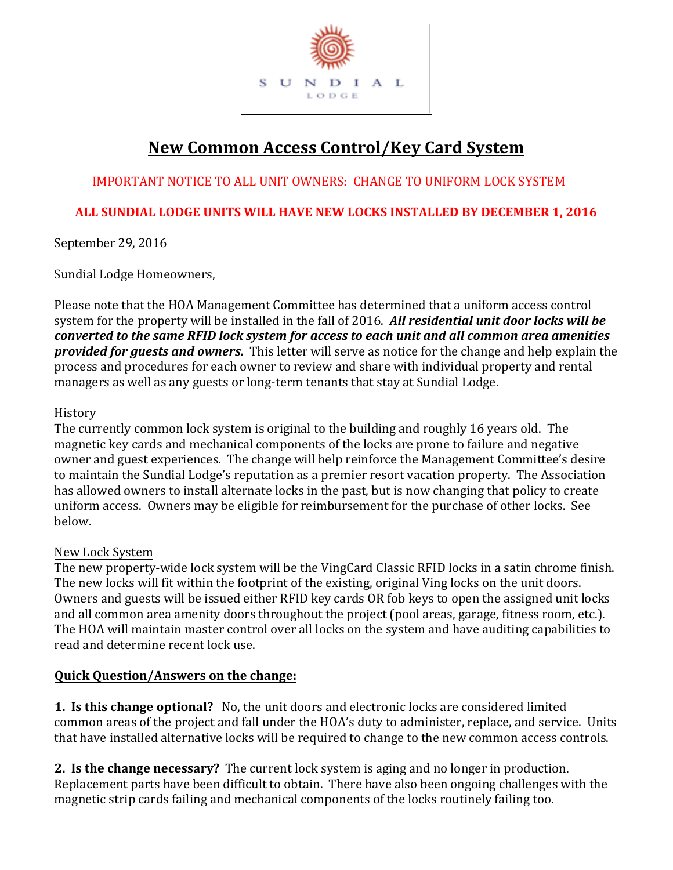

# **New Common Access Control/Key Card System**

IMPORTANT NOTICE TO ALL UNIT OWNERS: CHANGE TO UNIFORM LOCK SYSTEM

# **ALL SUNDIAL LODGE UNITS WILL HAVE NEW LOCKS INSTALLED BY DECEMBER 1, 2016**

September 29, 2016

Sundial Lodge Homeowners,

Please note that the HOA Management Committee has determined that a uniform access control system for the property will be installed in the fall of 2016. *All residential unit door locks will be converted to the same RFID lock system for access to each unit and all common area amenities provided for guests and owners.* This letter will serve as notice for the change and help explain the process and procedures for each owner to review and share with individual property and rental managers as well as any guests or long-term tenants that stay at Sundial Lodge.

# History

The currently common lock system is original to the building and roughly 16 years old. The magnetic key cards and mechanical components of the locks are prone to failure and negative owner and guest experiences. The change will help reinforce the Management Committee's desire to maintain the Sundial Lodge's reputation as a premier resort vacation property. The Association has allowed owners to install alternate locks in the past, but is now changing that policy to create uniform access. Owners may be eligible for reimbursement for the purchase of other locks. See below.

# New Lock System

The new property-wide lock system will be the VingCard Classic RFID locks in a satin chrome finish. The new locks will fit within the footprint of the existing, original Ving locks on the unit doors. Owners and guests will be issued either RFID key cards OR fob keys to open the assigned unit locks and all common area amenity doors throughout the project (pool areas, garage, fitness room, etc.). The HOA will maintain master control over all locks on the system and have auditing capabilities to read and determine recent lock use.

# **Quick Question/Answers on the change:**

**1. Is this change optional?** No, the unit doors and electronic locks are considered limited common areas of the project and fall under the HOA's duty to administer, replace, and service. Units that have installed alternative locks will be required to change to the new common access controls.

**2. Is the change necessary?** The current lock system is aging and no longer in production. Replacement parts have been difficult to obtain. There have also been ongoing challenges with the magnetic strip cards failing and mechanical components of the locks routinely failing too.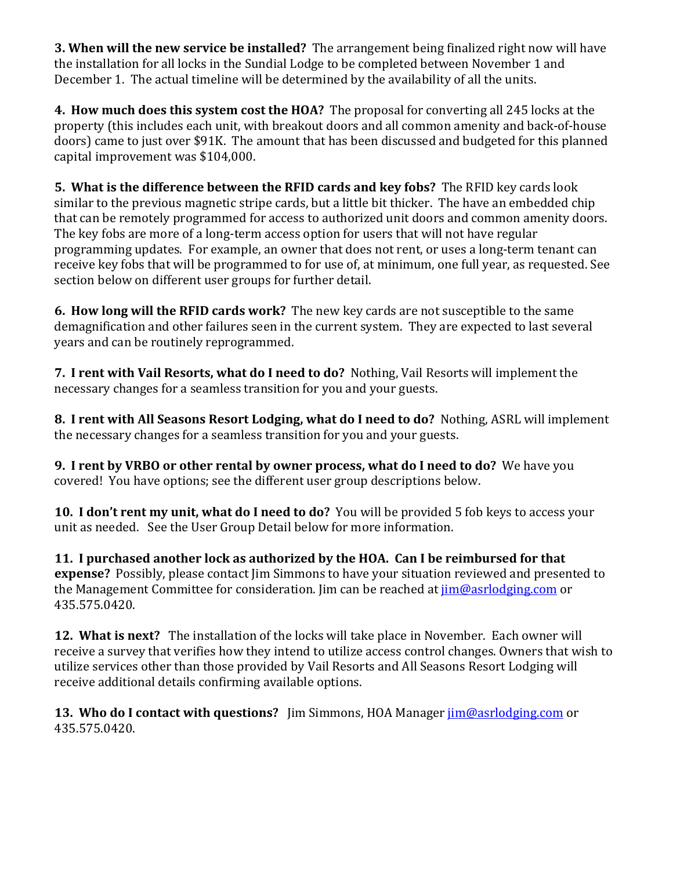**3. When will the new service be installed?** The arrangement being finalized right now will have the installation for all locks in the Sundial Lodge to be completed between November 1 and December 1. The actual timeline will be determined by the availability of all the units.

**4. How much does this system cost the HOA?** The proposal for converting all 245 locks at the property (this includes each unit, with breakout doors and all common amenity and back-of-house doors) came to just over \$91K. The amount that has been discussed and budgeted for this planned capital improvement was \$104,000.

**5. What is the difference between the RFID cards and key fobs?** The RFID key cards look similar to the previous magnetic stripe cards, but a little bit thicker. The have an embedded chip that can be remotely programmed for access to authorized unit doors and common amenity doors. The key fobs are more of a long-term access option for users that will not have regular programming updates. For example, an owner that does not rent, or uses a long-term tenant can receive key fobs that will be programmed to for use of, at minimum, one full year, as requested. See section below on different user groups for further detail.

**6. How long will the RFID cards work?** The new key cards are not susceptible to the same demagnification and other failures seen in the current system. They are expected to last several years and can be routinely reprogrammed.

**7. I rent with Vail Resorts, what do I need to do?** Nothing, Vail Resorts will implement the necessary changes for a seamless transition for you and your guests.

**8. I rent with All Seasons Resort Lodging, what do I need to do?** Nothing, ASRL will implement the necessary changes for a seamless transition for you and your guests.

**9. I rent by VRBO or other rental by owner process, what do I need to do?** We have you covered! You have options; see the different user group descriptions below.

**10. I don't rent my unit, what do I need to do?** You will be provided 5 fob keys to access your unit as needed. See the User Group Detail below for more information.

**11. I purchased another lock as authorized by the HOA. Can I be reimbursed for that expense?** Possibly, please contact Jim Simmons to have your situation reviewed and presented to the Management Committee for consideration. Jim can be reached at  $\lim_{\omega}$  asrlodging.com or 435.575.0420.

**12. What is next?** The installation of the locks will take place in November. Each owner will receive a survey that verifies how they intend to utilize access control changes. Owners that wish to utilize services other than those provided by Vail Resorts and All Seasons Resort Lodging will receive additional details confirming available options.

**13. Who do I contact with questions?** Jim Simmons, HOA Manager  $\lim_{x \to a}$  *Moasrlodging.com or* 435.575.0420.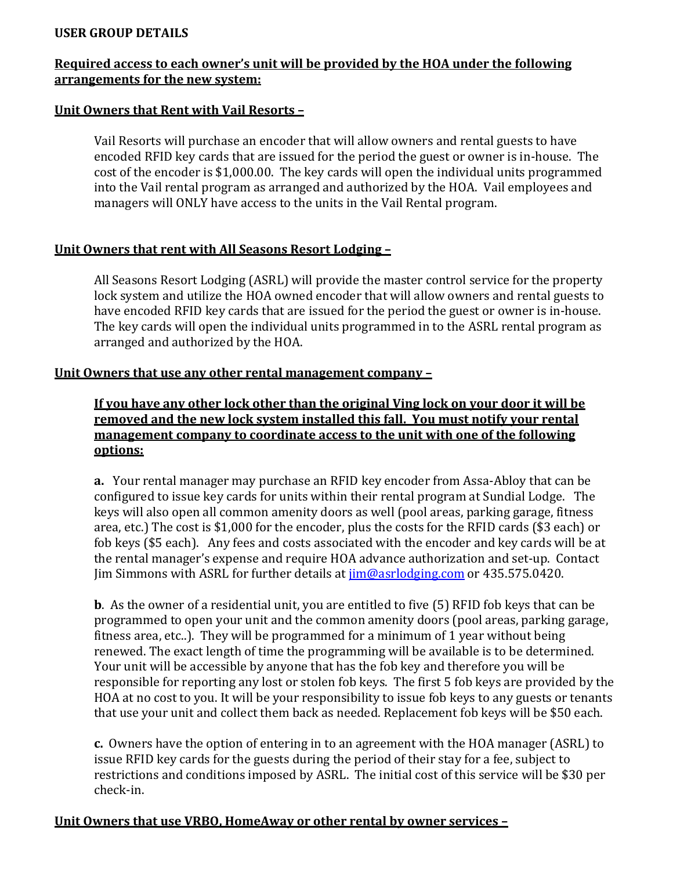# **USER GROUP DETAILS**

# **Required access to each owner's unit will be provided by the HOA under the following arrangements for the new system:**

#### **Unit Owners that Rent with Vail Resorts –**

Vail Resorts will purchase an encoder that will allow owners and rental guests to have encoded RFID key cards that are issued for the period the guest or owner is in-house. The cost of the encoder is \$1,000.00. The key cards will open the individual units programmed into the Vail rental program as arranged and authorized by the HOA. Vail employees and managers will ONLY have access to the units in the Vail Rental program.

# **Unit Owners that rent with All Seasons Resort Lodging –**

All Seasons Resort Lodging (ASRL) will provide the master control service for the property lock system and utilize the HOA owned encoder that will allow owners and rental guests to have encoded RFID key cards that are issued for the period the guest or owner is in-house. The key cards will open the individual units programmed in to the ASRL rental program as arranged and authorized by the HOA.

# **Unit Owners that use any other rental management company –**

**If you have any other lock other than the original Ving lock on your door it will be removed and the new lock system installed this fall. You must notify your rental management company to coordinate access to the unit with one of the following options:**

**a.** Your rental manager may purchase an RFID key encoder from Assa-Abloy that can be configured to issue key cards for units within their rental program at Sundial Lodge. The keys will also open all common amenity doors as well (pool areas, parking garage, fitness area, etc.) The cost is \$1,000 for the encoder, plus the costs for the RFID cards (\$3 each) or fob keys (\$5 each). Any fees and costs associated with the encoder and key cards will be at the rental manager's expense and require HOA advance authorization and set-up. Contact Jim Simmons with ASRL for further details at  $\lim_{\omega}$  asrlodging.com or 435.575.0420.

**b**. As the owner of a residential unit, you are entitled to five (5) RFID fob keys that can be programmed to open your unit and the common amenity doors (pool areas, parking garage, fitness area, etc..). They will be programmed for a minimum of 1 year without being renewed. The exact length of time the programming will be available is to be determined. Your unit will be accessible by anyone that has the fob key and therefore you will be responsible for reporting any lost or stolen fob keys. The first 5 fob keys are provided by the HOA at no cost to you. It will be your responsibility to issue fob keys to any guests or tenants that use your unit and collect them back as needed. Replacement fob keys will be \$50 each.

**c.** Owners have the option of entering in to an agreement with the HOA manager (ASRL) to issue RFID key cards for the guests during the period of their stay for a fee, subject to restrictions and conditions imposed by ASRL. The initial cost of this service will be \$30 per check-in.

# **Unit Owners that use VRBO, HomeAway or other rental by owner services –**